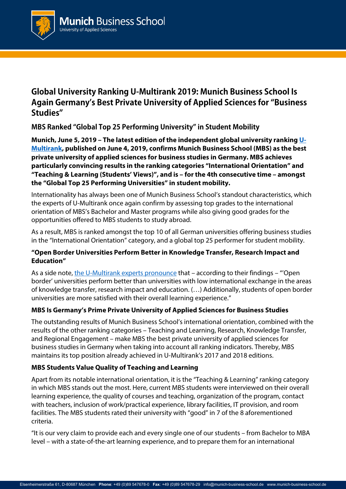

# **Global University Ranking U-Multirank 2019: Munich Business School Is Again Germany's Best Private University of Applied Sciences for "Business Studies"**

**MBS Ranked "Global Top 25 Performing University" in Student Mobility**

**Munich, June 5, 2019 – The latest edition of the independent global university rankin[g U-](https://www.umultirank.org/)[Multirank,](https://www.umultirank.org/) published on June 4, 2019, confirms Munich Business School (MBS) as the best private university of applied sciences for business studies in Germany. MBS achieves particularly convincing results in the ranking categories "International Orientation" and "Teaching & Learning (Students' Views)", and is – for the 4th consecutive time – amongst the "Global Top 25 Performing Universities" in student mobility.** 

Internationality has always been one of Munich Business School's standout characteristics, which the experts of U-Multirank once again confirm by assessing top grades to the international orientation of MBS's Bachelor and Master programs while also giving good grades for the opportunities offered to MBS students to study abroad.

As a result, MBS is ranked amongst the top 10 of all German universities offering business studies in the "International Orientation" category, and a global top 25 performer for student mobility.

### **"Open Border Universities Perform Better in Knowledge Transfer, Research Impact and Education"**

As a side note, [the U-Multirank experts pronounce](https://www.umultirank.org/export/sites/default/press-media/documents/day-of-press-release-umultirank-2019.pdf) that – according to their findings – "'Open border' universities perform better than universities with low international exchange in the areas of knowledge transfer, research impact and education. (…) Additionally, students of open border universities are more satisfied with their overall learning experience."

## **MBS Is Germany's Prime Private University of Applied Sciences for Business Studies**

The outstanding results of Munich Business School's international orientation, combined with the results of the other ranking categories – Teaching and Learning, Research, Knowledge Transfer, and Regional Engagement – make MBS the best private university of applied sciences for business studies in Germany when taking into account all ranking indicators. Thereby, MBS maintains its top position already achieved in U-Multirank's 2017 and 2018 editions.

# **MBS Students Value Quality of Teaching and Learning**

Apart from its notable international orientation, it is the "Teaching & Learning" ranking category in which MBS stands out the most. Here, current MBS students were interviewed on their overall learning experience, the quality of courses and teaching, organization of the program, contact with teachers, inclusion of work/practical experience, library facilities, IT provision, and room facilities. The MBS students rated their university with "good" in 7 of the 8 aforementioned criteria.

"It is our very claim to provide each and every single one of our students – from Bachelor to MBA level – with a state-of-the-art learning experience, and to prepare them for an international